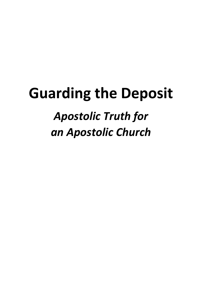# **Guarding the Deposit**

# *Apostolic Truth for an Apostolic Church*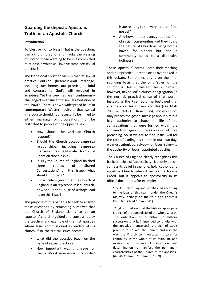## **Guarding the deposit: Apostolic Truth for an Apostolic Church**

#### **Introduction**

To bless or not to bless? That is the question. Can a church pray for and invoke the blessing of God on those wanting to be in a committed relationship which will involve same-sex sexual practice?

The traditional Christian view is that *all* sexual practice outside (heterosexual) marriage, including such homosexual practice, is sinful and contrary to God's will revealed in Scripture. Yet this view has been continuously challenged ever since the sexual revolution of the 1960's. There is now a widespread belief in contemporary Western culture that sexual intercourse should not necessarily be linked to either marriage or procreation, nor be restricted to people of the opposite sex.

- How should the Christian Church respond?
- Should the Church accept same-sex relationships, including same-sex marriages, as legitimate forms of Christian discipleship?
- In July the Church of England finished three rounds of 'Shared Conversations' on this issue: what should it do next?
- In particular—given that the Church of England is an 'episcopally-led' church, how should the House of Bishops lead us on this issue?

The purpose of this paper is to seek to answer these questions by reminding ourselves that the Church of England claims to be an 'apostolic' church—guided and constrained by the teaching and example of the first apostles whom Jesus commissioned as leaders of his church. If so, the critical issues become:

- what did the apostles teach on the issue of sexual practice?
- How important was this issue for them? Was it an essential 'first-order'

issue relating to the very nature of the gospel?

 And how, in their oversight of the first Christian communities, did they guard the nature of Church as being both a haven for sinners but also a community called to a distinctive holiness?

These 'apostolic' norms—both their teaching and their practice—are too often overlooked in this debate. Sometimes this is on the finesounding basis that the only 'ruler' of the church is Jesus himself. Jesus himself, however, never 'led' a church-congregation (in the normal, practical sense of that word). Instead, as the Risen Lord, he bestowed that vital task on his chosen apostles (see Matt 28:16-20, Acts 1:8, Rom 1:1-6), who would not only preach the gospel message about him but have authority to shape the life of the congregations that were formed within the surrounding pagan culture as a result of their preaching. So, if we are to find Jesus' will for the task of leading his church in our own day, we must submit ourselves—for Jesus' sake—to the authority of Jesus' appointed apostles.

The Church of England clearly recognises this basic principle of 'apostolicity'. Not only does it confess its belief in the 'one, holy, catholic and apostolic Church' when it recites the Nicene Creed, but it appeals to apostolicity in its official documents, for example:

'The Church of England, established according to the laws of this realm under the Queen's Majesty, belongs to the true and apostolic Church of Christ.' (Canon A1)

'Anglicans believe that the historic episcopate is a sign of the apostolicity of the whole Church. The ordination of a bishop in historic succession (that is, in intended continuity with the apostles themselves) is a sign of God's promise to be with the Church, and also the way the Church communicates its care for continuity in the whole of its faith, life and mission and renews its intention and determination to manifest the permanent characteristics of the Church of the apostles.' (*Reuilly Common Statement*: 1999).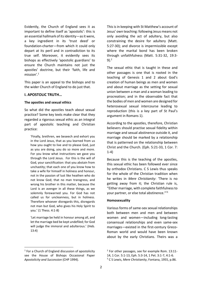Evidently, the Church of England sees it as important to define itself as 'apostolic': this is an essential hallmark of its identity—as it were, a key ingredient in its 'trust deed' or foundation-charter—from which it could only depart at its peril and in contradiction to its true self. Moreover, it evidently sees its bishops as effectively 'apostolic guardians' to ensure the Church maintains not just the apostles' doctrine, but their 'faith, life and mission'.<sup>1</sup>

This paper is an appeal to the bishops and to the wider Church of England to do just that.

#### **I. APOSTOLIC TRUTH…**

#### **The apostles and sexual ethics**

So what did the apostles teach about sexual practice? Some key texts make clear that they regarded a rigorous sexual ethic as an integral part of apostolic teaching and Christian practice:

'Finally, brethren, we beseech and exhort you in the Lord Jesus, that as you learned from us how you ought to live and to please God, just as you are doing, you do so more and more. For you know what instructions we gave you through the Lord Jesus. For this is the will of God, your sanctification: that you abstain from unchastity; that each one of you know how to take a wife for himself in holiness and honour, not in the passion of lust like heathen who do not know God; that no man transgress, and wrong his brother in this matter, because the Lord is an avenger in all these things, as we solemnly forewarned you. For God has not called us for uncleanness, but in holiness. Therefore whoever disregards this, disregards not man but God, who gives his Holy Spirit to you.' (1 Thess. 4:1-8)

'Let marriage be held in honour among all, and let the marriage bed be kept undefiled; for God will judge the immoral and adulterous.' (Heb. 13:4)

<sup>1</sup> For a Church of England discussion of apostolicity see the House of Bishops Occasional Paper *Apostolicity and Succession* (CHP 1994).

**.** 

This is in keeping with St Matthew's account of Jesus' own teaching: following Jesus means not only avoiding the act of adultery, but also constraining the desire for adultery (Matt. 5:27-30); and divorce is impermissible except where the marital bond has been broken through unfaithfulness (Matt. 5:31-32, 19:3- 9). $2$ 

The sexual ethic that is taught in these and other passages is one that is rooted in the teaching of Genesis 1 and 2 about God's creation of human beings as men and women and about marriage as the setting for sexual union between a man and a woman leading to procreation; and in the observable fact that the bodies of men and women are designed for heterosexual sexual intercourse leading to reproduction (this is a key part of St Paul's argument in Romans 1).

According to the apostles, therefore, Christian believers should practise sexual fidelity within marriage and sexual abstinence outside it, and marriage should be marked by a relationship that is patterned on the relationship between Christ and the Church. (Eph. 5:21-33, 1 Cor. 7: 1-4)

Because this is the teaching of the apostles, this sexual ethic has been followed ever since by orthodox Christians. C S Lewis thus speaks for the whole of the Christian tradition when he writes in *Mere Christianity*: 'There is no getting away from it; the Christian rule is, "Either marriage, with complete faithfulness to your partner, or else total abstinence."'<sup>3</sup>

#### **Homosexuality**

Various forms of same-sex sexual relationships both between men and men and between women and women—including long-lasting consensual relationships and even same-sex marriages—existed in the first-century Greco-Roman world and would have been known about by the early Christians. Theirs was a

<sup>2</sup> For other passages, see for example Rom. 13:11-

<sup>14, 1</sup> Cor. 5:1-13, Eph. 5:3-14, 1 Pet. 3:1-7, 4:1-6.

<sup>3</sup> C S Lewis, *Mere Christianity*, Fontana, 1955, p.86.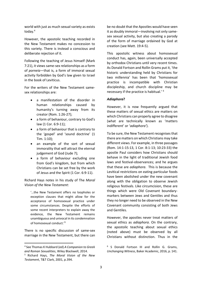world with just as much sexual variety as exists today.<sup>4</sup>

However, the apostolic teaching recorded in the New Testament makes no concession to this variety. There is instead a conscious and deliberate rejection of it.

Following the teaching of Jesus himself (Mark 7:21), it views same-sex relationships as a form of *porneia—*that is, a form of immoral sexual activity forbidden by God's law given to Israel in the book of Leviticus.

For the writers of the New Testament samesex relationships are:

- a manifestation of the disorder in human relationships caused by humanity's turning away from its creator (Rom. 1:26-27);
- a form of behaviour, contrary to God's law (1 Cor. 6:9-11);
- a form of behaviour that is contrary to the 'gospel' and 'sound doctrine' (1 Tim. 1:10);
- an example of the sort of sexual immorality that will attract the eternal judgement of God (Jude 7);
- a form of behaviour excluding one from God's kingdom, but from which Christians can be set free by the work of Jesus and the Spirit (1 Cor. 6:9-11).

Richard Hays notes in his study of The *Moral Vision of the New Testament*:

'…the New Testament offers no loopholes or exception clauses that might allow for the acceptance of homosexual practice under some circumstances. Despite the efforts of some recent interpreters to explain away the evidence, the New Testament remains unambiguous and univocal in its condemnation of homosexual conduct.'<sup>5</sup>

There is no specific discussion of same-sex marriage in the New Testament, but there can

**.** 

be no doubt that the Apostles would have seen it as doubly immoral—involving not only samesex sexual activity, but also creating a parody of the form of marriage ordained by God at creation (see Matt. 19:4-5).

This apostolic witness about homosexual conduct has, again, been universally accepted by orthodox Christians until very recent times. As Donald Fortson and Rollin Grams put it, 'the historic understanding held by Christians for two millennia' has been that 'homosexual practice is incompatible with Christian discipleship, and church discipline may be necessary if the practice is habitual.' <sup>6</sup>

#### *Adiaphora***?**

However, it is now frequently argued that these matters of sexual ethics are matters on which Christians can properly agree to disagree (what are technically known as 'matters indifferent' or '*adiaphora'*).

To be sure, the New Testament recognises that there are matters on which Christians may take different views. For example, in three passages (Rom. 14:1-15:13, 1 Cor. 8:1-13; 10:23-33) the apostle Paul considers how Christians should behave in the light of traditional Jewish food laws and festival-observances; and he argues that these are *adiaphora*. This is because the Levitical restrictions on eating particular foods have been abolished under the new covenant along with the obligation to observe Jewish religious festivals. Like circumcision, these are things which were Old Covenant boundarymarkers between Jews and Gentiles and thus they no longer need to be observed in the New Covenant community consisting of both Jews and Gentiles.

However, the apostles never treat matters of sexual ethics as *adiaphora*. On the contrary, the apostolic teaching about sexual ethics (noted above) must be observed by all Christians without distinction. Thus in the

<sup>4</sup> See Thomas K Hubbard (ed) *A Companion to Greek and Roman Sexualities*, Wiley Blackwell, 2014.

<sup>5</sup> Richard Hays, *The Moral Vision of the New Testament*, T&T Clark, 2001, p.394.

<sup>6</sup> S Donald Fortson III and Rollin G. Grams, *Unchanging Witness*, Baker Academic, 2016, p. 141.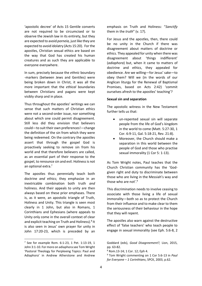'apostolic decree' of Acts 15 Gentile converts are not required to be circumcised or to observe the Jewish law in its entirety, but they are expected to avoid *porneia,* just like they are expected to avoid idolatry (Acts 15:20). For the apostles, Christian sexual ethics are based on the way that God has created his human creatures and as such they are applicable to everyone everywhere.

In sum, precisely because the *ethnic* boundary -markers (between Jews and Gentiles) were being broken down in Christ, it was all the more important that the *ethical* boundaries between Christians and pagans were kept visibly sharp and in place.

Thus throughout the apostles' writings we can sense that such matters of Christian ethics were not a second-order issue, nor something about which one could permit disagreement. Still less did they envision that believers could—to suit their own preferences!—change the definition of the sin from which they were being redeemed. On the contrary the apostles assert that through the gospel God is proactively seeking to remove sin from his world and that therefore believers are called, as an essential part of their response to the gospel, to renounce sin and evil. Holiness is not an optional extra.<sup>7</sup>

The apostles thus perennially teach both doctrine *and* ethics; they emphasize in an inextricable combination both truth *and* holiness. And their appeals to unity are then always based on these prior emphases. There is, as it were, an apostolic triangle of Truth, Holiness and Unity. This triangle is seen most clearly in 1 John, but also in Romans, 1 Corinthians and Ephesians (where appeals to Unity only come in the overall context of clear and explicit teaching on Truth and Holiness).<sup>8</sup> It is also seen in Jesus' own prayer for unity in John 17:20-23, which is preceded by an

 $\overline{\phantom{a}}$ 

emphasis on Truth and Holiness: "*Sanctify* them in the *truth*" (v. 17).

For Jesus and the apostles, then, there could be no unity in the Church if there was disagreement about matters of doctrine or ethics. They appealed for unity when there was disagreement about 'things indifferent' (*adiaphora*) but, when it came to matters of doctrine and ethics, they appealed for obedience. Are we willing—for Jesus' sake—to obey them? Will we (in the words of our Anglican liturgy for the Renewal of Baptismal Promises, based on Acts 2:42) 'commit ourselves afresh to the apostles' teaching'?

#### **Sexual sin and separation**

The apostolic witness in the New Testament further tells us that:

- un-repented sexual sin will separate people from the life of God's kingdom in the world to come (Matt. 5:27-30, 1 Cor. 6:9-11, Gal. 5:18-21, Rev. 21:8).
- Moreover, the Church should make a separation in this world between the people of God and those who practise sexual immorality (1 Cor 5: 1-13).

As Tom Wright notes, Paul teaches that the Church Christian community has the 'Godgiven right and duty to discriminate between those who are living in the Messiah's way and those who are not'.<sup>9</sup>

This discrimination needs to involve ceasing to associate with those living a life of sexual immorality—both so as to protect the Church from their influence and to make clear to them the seriousness of their behaviour in the hope that they will repent.

The apostles also warn against the destructive effect of 'false teachers' who teach people to engage in sexual immorality (see Eph. 5:6-8, 2

<sup>&</sup>lt;sup>7</sup> See for example Rom. 6:1-23, 1 Pet. 1:13-19, 1 John 3:1-10. For more on adiaphora see Tom Wright 'Pastoral Theology for Perplexing Topics: Paul and Adiaphora' in Andrew Atherstone and Andrew

Goddard (eds), *Good Disagreement?,* Lion, 2015, pp. 63-82.

<sup>8</sup> Rom.13-14; 1 Cor. 12; Eph 4.

<sup>9</sup> Tom Wright commenting on 1 Cor 5:6-13 in *Paul for Everyone – 1 Corinthians*, SPCK, 2003, p.62.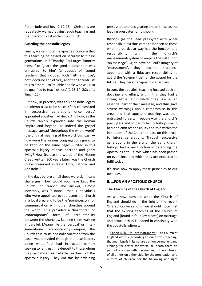Peter, Jude and Rev. 2:19-23). Christians are repeatedly warned against such teaching and the toleration of it within the Church.

#### **Guarding the apostolic legacy**

Finally, we can note the apostles' concern that this teaching be passed on securely to future generations. In 2 Timothy, Paul urges Timothy himself to 'guard the good deposit that was entrusted' to him' (a deposit of 'sound teaching' that included both 'faith and love', both doctrine and ethics), and then to 'entrust' this to others—to 'reliable people who will also be qualified to teach others' (1:13-14; 2:2; cf. 1 Tim. 4:16).

But how, in practice, was this apostolic legacy or solemn trust to be successfully transmitted in successive generations once Jesus' appointed apostles had died? And how, as the Church rapidly expanded into the Roman Empire and beyond—as indeed the gospel message spread 'throughout the whole world' (the original meaning of the word '*catholic*') how were the various congregations going to be kept 'on the same page'—united in this apostolic legacy of true doctrine and godly living? How (to use the words of the Nicene Creed written 300 years later) was the Church to be preserved as 'One, Holy, Catholic and Apostolic'?

In the days before email these were significant challenges! How would *you* have kept the Church 'on track'? The answer, almost inevitably, was 'bishops'—that is individuals who were appointed to represent the church in a local area and to be the 'point-person' for communication with other churches around the world. This provided a 'horizontal' or 'contemporary' form of accountability between the churches, keeping them walking in parallel. Meanwhile the 'vertical' or 'intergenerational' accountability—keeping the Church true to its apostolic vocation from the past—was provided through the local leaders doing what Paul had instructed—namely seeking to 'entrust' the deposit to those whom they recognized as 'reliable teachers' of the apostolic legacy. They did this by ordaining

presbyters and designating one of these as the leading presbyter (or 'bishop').

Bishops (as the lead presbyter with wider responsibilities) thus came to be seen as those who in a particular way had the function and responsibility within the Church's management-system of keeping the institution 'on message'. Or, to develop Paul's imagery of 'entrustment', they became 'trustees', appointed with a fiduciary responsibility to guard the 'solemn trust' of the gospel for the future. They became 'apostolic guardians'.

In sum, the apostles' teaching focused both on doctrine and ethics; within this they had a strong sexual ethic which they saw as an essential part of their message, and thus gave severe warnings about compromise in this area; and that apostolic teaching was then entrusted to certain people—to the church's presbyters and in particular to bishops—who had a solemn responsibility and role within the institution of the Church to pass on this 'trust' to future generations. Through successive generations in the era of the early church bishops had a key function in defending the Apostolic Faith—a role which has been passed on ever since and which they are expected to fulfil today.

It's time now to apply these principles to our own day.

#### **II. …FOR AN APOSTOLIC CHURCH**

#### **The Teaching of the Church of England**

As we now consider what the Church of England should do in the light of the recent 'Shared Conversations' we should note first that the existing teaching of the Church of England (found in four key places) on marriage and sexual ethics is indeed in continuity with the apostolic witness:

1. Canon B.30, 'Of Holy Matrimony': 'The Church of England affirms, according to our Lord's teaching, that marriage is in its nature a union permanent and lifelong, for better for worse, till death them do part, of one man with one woman, to the exclusion of all others on either side, for the procreation and nurture of children, for the hallowing and right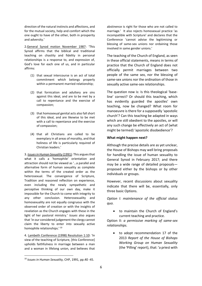direction of the natural instincts and affections, and for the mutual society, help and comfort which the one ought to have of the other, both in prosperity and adversity.'

2.General Synod motion November 1987: 'This Synod affirms that the biblical and traditional teaching on chastity and fidelity in personal relationships is a response to, and expression of, God's love for each one of us, and in particular affirms:

- (1) that sexual intercourse is an act of total commitment which belongs properly within a permanent married relationship;
- (2) that fornication and adultery are sins against this ideal, and are to be met by a call to repentance and the exercise of compassion;
- (3) that homosexual genital acts also fall short of this ideal, and are likewise to be met with a call to repentance and the exercise of compassion;
- (4) that all Christians are called to be exemplary in all areas of morality, and that holiness of life is particularly required of Christian leaders.'

3. *Issues in Human Sexuality* (1991): This argues that what it calls a 'homophile' orientation and attraction should not be viewed as '…a parallel and alternative form of human sexuality as complete within the terms of the created order as the heterosexual. The convergence of Scripture, Tradition and reasoned reflection on experience, even including the newly sympathetic and perceptive thinking of our own day, make it impossible for the Church to come with integrity to any other conclusion. Heterosexuality and homosexuality are not equally congruous with the observed order of creation or with the insights of revelation as the Church engages with these in the light of her pastoral ministry.' *Issues* also argues that 'in our considered judgement the clergy cannot claim the liberty to enter into sexually active homophile relationships.' <sup>10</sup>

4. Lambeth Conference (1998) Resolution 1:10: 'In view of the teaching of Scripture, [this Conference] upholds faithfulness in marriage between a man and a woman in lifelong union, and believes that

**.** 

abstinence is right for those who are not called to marriage.' It also rejects homosexual practice 'as incompatible with Scripture' and declares that the Conference 'cannot advise the legitimising or blessing of same-sex unions nor ordaining those involved in same gender unions.'

The teaching of the Church of England, as seen in these official statements, means in terms of practice that the Church of England does not officially permit marriages between two people of the same sex, nor the blessing of same-sex unions nor the ordination of those in sexually active same-sex relationships.

The question now is: Is this theological 'baseline' correct? Or should this teaching, which has evidently guarded the apostles' own teaching, now be changed? What room for manoeuvre is there for a supposedly 'apostolic church'? Can this teaching be adapted in ways which are still obedient to the apostles, or will any such change be effectively an act of (what might be termed) 'apostolic disobedience'?

#### **What might happen next?**

Although the precise details are as yet unclear, the House of Bishops may well bring proposals for handling the issue of human sexuality to General Synod in February 2017; and there may be a wide range of detailed proposals proposed either by the bishops or by other individuals or groups.

However, recent discussions about sexuality indicate that there will be, essentially, only three basic Options.

*Option I: maintenance of the official status quo.* 

• to maintain the Church of England's current teaching and practice.

Option II: *a permissive marking of same-sex relationships.*

• to adopt recommendation 17 of the 2013 *Report of the House of Bishops Working Group on Human Sexuality*  (the 'Pilling' report), that: 'a priest with

<sup>10</sup> *Issues in Human Sexuality,* CHP, 1991, pp.40 -45.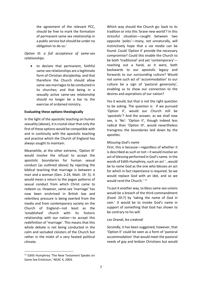the agreement of the relevant PCC, should be free to mark the formation of permanent same sex relationship in a public service but should be under no obligation to do so.'

#### *Option III: a full acceptance of same-sex relationships.*

• to declare that permanent, faithful same-sex relationships are a legitimate form of Christian discipleship; and that therefore the Church should allow same-sex marriages to be conducted in its churches; and that being in a sexually active same-sex relationship should no longer be a bar to the exercise of ordained ministry.

#### **Evaluating these options theologically**

In the light of the apostolic teaching on human sexuality (above), it is crystal clear that only the first of these options would be compatible with and in continuity with the apostolic teaching and practice which the Church of England has always sought to maintain.

Meanwhile, at the other extreme, 'Option III' would involve the refusal to accept the apostolic boundaries for human sexual conduct (as outlined above) by rejecting the biblical teaching that marriage is between a man and a woman (Gen. 2:24, Matt. 19: 5). It would mean a return to the pagan patterns of sexual conduct from which Christ came to redeem us. However, same-sex 'marriage' has now been enshrined in British law and relentless pressure is being exerted from the media and from contemporary society on the Church of England—not least as the 'established' church with its historic relationship with our nation—to accept this redefinition of 'marriage'. This means that this whole debate is not being conducted in the calm and secluded cloisters of the Church but rather in the midst of a very heated political climate.

Which way should the Church go: back to its tradition or into this 'brave new world'? In this stressful situation—caught between two opposite 'poles'—many, not unnaturally, will instinctively hope that a *via media* can be found. Could 'Option II' provide the necessary compromise? Could this enable the Church to be both 'traditional' and yet 'contemporary' reaching out a hand, as it were, both backwards to our apostolic legacy and forwards to our surrounding culture? Would not some such act of 'accommodation' to our culture be a sign of 'pastoral generosity', enabling us to show our connection to the desires and aspirations of our nation?

Yes it would, but that is not the right question to be asking. The question is: if we pursued 'Option II', would our Church still be 'apostolic'? And the answer, as we shall now see, is 'No': 'Option II', though indeed less radical than 'Option III', would nevertheless transgress the boundaries laid down by the apostles.

#### *Misusing God's name*

*First*, this is because—regardless of whether it is described as such or not—it would involve an act of *blessing* performed in God's name. In the words of Edith Humphrey, such an act '…would be to name God as the one who blesses an act for which in fact repentance is required. So we would replace God with an idol, and so we would rend the Church.<sup>' 11</sup>

To put it another way, to bless same-sex unions would be a breach of the third commandment (Exod. 20:7) by 'taking the name of God in vain.' It would be to invoke God's name in support of something that God has shown to be contrary to his will.

#### *Lex Orandi, lex credendi*

*Secondly*, it has been suggested, however, that 'Option II' could be seen as a form of 'pastoral accommodation' that would meet the pastoral needs of gay and lesbian Christians but would

1

<sup>&</sup>lt;sup>11</sup> Edith Humphrey 'The New Testament Speaks on Same Sex Eroticism,' NEAC 4, 2003.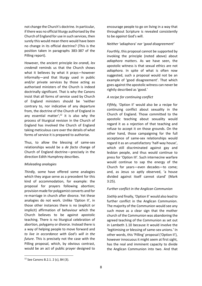not change the Church's doctrine. In particular, if there was no official liturgy authorised by the Church of England for use in such services, then surely this would mean there would have been no change in its official doctrine? (This is the position taken in paragraphs 383-387 of the Pilling report).

However, the ancient principle *lex orandi, lex credendi* reminds us that the Church shows what it believes by what it prays—however informally—and that liturgy used in public and/or private services by those acting as authorised ministers of the Church is indeed doctrinally significant. That is why the Canons insist that all forms of service used by Church of England ministers should be 'neither contrary to, nor indicative of any departure from, the doctrine of the Church of England in any essential matter'; $12$  it is also why the process of liturgical revision in the Church of England has involved the Church of England taking meticulous care over the details of what forms of service it is prepared to authorise.

Thus, to allow the blessing of same-sex relationships would be a *de facto* change of Church of England doctrine—precisely in the direction Edith Humphrey describes.

#### *Misleading analogies*

*Thirdly,* some have offered some analogies which they argue serve as a precedent for this kind of accommodation, for example: the proposal for prayers following abortion; provision made for polygamist converts and for re-marriage in church after divorce. Yet these analogies do not work. Unlike 'Option II', in those other instances there is no (explicit or implicit) affirmation of behaviour which the Church believes to be against apostolic teaching. There is no liturgical celebration of abortion, polygamy or divorce. Instead there is a way of helping people to move forward and *to live in accordance with God's will in the future*. This is precisely not the case with the Pilling proposal, which, by obvious contrast, would be an act of public prayer designed to encourage people to go on living in a way that throughout Scripture is revealed consistently to be *against* God's will.

#### *Neither '*adiaphora' *nor 'good disagreement'*

*Fourthly*, this proposal cannot be supported by invoking the principle (noted above) about *adiaphora* matters. As we have seen, the apostolic witness is that sexual ethics are not *adiaphora.* In spite of what is often now suggested, such a proposal would not be an example of 'good disagreement'. That which goes against the apostolic witness can never be rightly described as 'good.'

#### *A recipe for continuing conflict*

*Fifthly,* 'Option II' would also be a recipe for continuing conflict about sexuality in the Church of England. Those committed to the apostolic teaching about sexuality would regard it as a rejection of that teaching and refuse to accept it on those grounds. On the other hand, those campaigning for the full acceptance of same-sex relationships would regard it as an unsatisfactory 'half-way house', which still discriminated against gay and lesbian people, and thus would continue to press for 'Option III'. Such internecine warfare would continue to sap the energy of the Church for years—even decades—to come; and, as Jesus so aptly observed, 'a house divided against itself cannot stand' (Mark 3:25).

#### *Further conflict in the Anglican Communion*

*Sixthly* and finally, 'Option II' would also lead to further conflict in the Anglican Communion. The majority of the Communion would see any such move as a clear sign that the mother church of the Communion was abandoning the agreed teaching of the Communion as set out in Lambeth 1.10 because it would involve the 'legitimising or blessing of same-sex unions.' In other words, this 'Pilling' proposal ('Option II'), however innocuous it might seem at first sight, has the real and imminent capacity to divide the Anglican Communion into two. And that

**.** 

<sup>12</sup> See Canons B.2.1. 2 (c), B4 (3).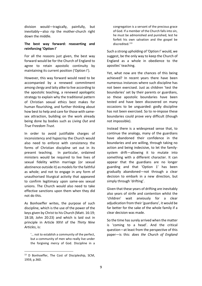division would—tragically, painfully, but inevitably—also rip the mother-church right down the middle.

#### **The best way forward: reasserting and reinforcing 'Option I'**

For all the reasons just given, the best way forward would be for the Church of England to agree to retain apostolic continuity by maintaining its current position ('Option I').

However, this way forward would need to be accompanied by a renewed commitment among clergy and laity alike to live according to the apostolic teaching, a renewed apologetic strategy to explain why the traditional pattern of Christian sexual ethics best makes for human flourishing, and further thinking about how best to help and care for those with samesex attraction, building on the work already being done by bodies such as *Living Out* and *True Freedom Trust*.

In order to avoid justifiable charges of inconsistency and hypocrisy the Church would also need to enforce with consistency the forms of Christian discipline set out in its present teaching. In particular, ordained ministers would be required to live lives of sexual fidelity within marriage (or sexual abstinence outside it) as models for the faithful as whole; and not to engage in any form of unauthorised liturgical activity that appeared to confirm legitimacy upon same-sex sexual unions. The Church would also need to take effective sanctions upon them when they did not do this.

As Bonhoeffer writes, the purpose of such discipline, which is the use of the power of the keys given by Christ to his Church (Matt. 16:19; 18:18; John 20:23) and which is laid out in principle in Article XXVI of the *Thirty Nine Articles*, is:

'… not to establish a community of the perfect, but a community of men who really live under the forgiving mercy of God. Discipline in a

1

congregation is a servant of the precious grace of God. If a member of the Church falls into sin, he must be admonished and punished, lest he forfeit his own salvation and the gospel be discredited.'<sup>13</sup>

Such a strong upholding of 'Option I' would, we suggest, be the only way to keep the Church of England as a whole in obedience to the apostles' teaching.

Yet, what now are the chances of this being achieved? In recent years there have been numerous instances where such discipline has not been exercised. Just as children 'test the boundaries' set by their parents or guardians, so these apostolic boundaries have been tested and have been discovered on many occasions to be unguarded: godly discipline has not been exercised. So to re-impose these boundaries could prove very difficult (though not impossible).

Instead there is a widespread sense that, to continue the analogy, many of the guardians have abandoned their confidence in the boundaries and are willing, through taking no action and being indecisive, to let the familysystem drift—allowing it to mutate into something with a different character. It can appear that the guardians are no longer guarding and that 'Option 1' has been gradually abandoned—not through a clear decision to embark in a new direction, but simply through 'drifting'.

Given that these years of drifting are inevitably also years of strife and contention whilst the 'children' wait anxiously for a clear adjudication from their 'guardians', it would be far better for the sake of the whole family if a clear decision was made.

So the time has surely arrived when the matter is 'coming to a head'. And the critical question—at least from the perspective of this paper—is this: *does the Church of England* 

<sup>13</sup> D Bonhoeffer, The Cost of Discipleship, SCM, 1959, p.360.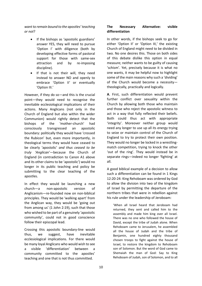*want to remain bound to the apostles' teaching or not*?

- If the bishops as 'apostolic guardians' answer YES, they will need to pursue 'Option I' with diligence (both by developing effective forms of pastoral support for those with same-sex attraction and by re-imposing discipline).
- If that is not their will, they need instead to answer NO and openly to embrace 'Option II' or eventually 'Option III.'

However, if they do so—and this is the crucial point—they would need to recognise the inevitable ecclesiological implications of their actions. Many Anglicans (not only in the Church of England but also within the wider Communion) would rightly detect that the bishops of the 'mother-church' had consciously transgressed an apostolic boundary: politically they would have 'crossed the Rubicon' but, even more importantly, in theological terms they would have ceased to be clearly 'apostolic' *and thus ceased to be truly 'Anglican'*—because the Church of England (in contradiction to Canon A1 above and its other claims to be 'apostolic') would no longer in its public teaching and policy be submitting to the clear teaching of the apostles.

In effect they would be launching a new church—a non-apostolic version of Anglicanism—re-founded now on non-biblical principles. They would be 'walking apart' from the Anglican way, they would be 'going out from among us' (1 John 2:19), such that those who wished to be part of a genuinely 'apostolic community', could not in good conscience follow their episcopal lead.

Crossing this apostolic boundary-line would thus, we suggest, have inevitable ecclesiological implications. For there would be many loyal Anglicans who would wish to see a visible 'differentiation' between a community committed to the apostles' teaching and one that is not thus committed.

#### **The Necessary Alternative: visible differentiation**

In other words, if the bishops seek to go for either 'Option II' or 'Option III,' the existing Church of England might need to be divided in two. No one desires this. Those on both sides of this debate dislike this option in equal measure; neither wants to be guilty of causing 'schism'. Yet, precisely because it is what no one wants, it may be helpful now to highlight some of the main reasons why such a 'dividing' of the Church would become a necessity theologically, practically and logically.

**A**. First, such differentiation would prevent further conflict over sexuality within the Church by allowing both those who maintain and those who reject the apostolic witness to act in a way that fully reflected their beliefs. Both could thus act with appropriate 'integrity'. Moreover neither group would need any longer to use up all its energy trying to seize or maintain control of the Church of England to try to protect their own position. They would no longer be locked in a wrestlingmatch competition, trying to knock the other 'out of the ring'. They would instead be in separate rings—indeed no longer 'fighting' at all.

A good biblical example of a decision to allow such a differentiation can be found in 1 Kings 12:20-24: King Rehoboam was ordered by God to allow the division into two of the kingdom of Israel by permitting the departure of the northern tribes that were in rebellion against his rule under the leadership of Jeroboam:

'When all Israel heard that Jeroboam had returned, they sent and called him to the assembly and made him king over all Israel. There was no one who followed the house of David, except the tribe of Judah alone. When Rehoboam came to Jerusalem, he assembled all the house of Judah and the tribe of Benjamin, one hundred eighty thousand chosen troops to fight against the house of Israel, to restore the kingdom to Rehoboam son of Solomon. But the word of God came to Shemaiah the man of God: Say to King Rehoboam of Judah, son of Solomon, and to all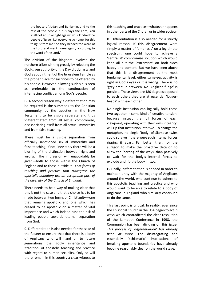the house of Judah and Benjamin, and to the rest of the people, 'Thus says the Lord, You shall not go up or fight against your kindred the people of Israel. Let everyone go home, for this thing is from me.' So they heeded the word of the Lord and went home again, according to the word of the Lord**.'**

The division of the kingdom involved the northern tribes sinning greatly by rejecting the God-given authority of the Davidic dynasty and God's appointment of the Jerusalem Temple as the proper place for sacrifices to be offered by his people. However, allowing such sin is seen as preferable to the continuation of internecine conflict among God's people.

**B.** A second reason why a differentiation may be required is the summons to the Christian community by the apostles in the New Testament to be visibly separate and thus 'differentiated' from all sexual compromise, disassociating itself from all sexual immorality and from false teaching.

There must be a visible separation from officially sanctioned sexual immorality and false teaching; if not, inevitably there will be a blurring of the distinction between right and wrong. The impression will unavoidably be given—both to those within the Church of England and to those outside it—that *forms of teaching and practice that transgress the apostolic boundary are an acceptable part of the diversity of the Church of England.* 

There needs to be a way of making clear that this is not the case and that a choice has to be made between two forms of Christianity—one that remains apostolic and one which has ceased to be apostolic on a matter of vital importance and which indeed runs the risk of leading people towards eternal separation from God.

**C**. Differentiation is also needed for the sake of the future: to ensure that that there is a body of Anglicans who will hand on to future generations the godly inheritance and 'tradition' of apostolic teaching and practice with regard to human sexuality. Only so will there remain in this country a clear witness to this teaching and practice—whatever happens in other parts of the Church or in wider society.

**D.** Differentiation is also needed for a strictly logical reason. If this disagreement were simply a matter of 'emphasis' on a legitimate spectrum, one could hope to achieve a 'centralist' compromise solution which would keep all but the 'extremists' on both sides happy and content. But we have seen above that this is a disagreement at the most fundamental level: either same-sex activity is right in God's eyes or it is wrong. There is no 'grey area' in-between. No 'Anglican fudge' is possible. These views are 180 degrees opposed to each other; they are at essential 'loggerheads' with each other.

No single institution can logically hold these two together in some kind of 'creative tension' because instead the full forces of each viewpoint, operating with their own integrity, will rip that institution into two. To change the metaphor, no single 'body' of Siamese twins could survive if there were such internal forces ripping it apart. Far better then, for the surgeon to make the proactive decision to allow the 'parting of the ways' than passively to wait for the body's internal forces to explode and rip the body in two.

**E.** Finally, differentiation is needed in order to maintain unity with the majority of Anglicans around the world, who continue to adhere to this apostolic teaching and practice and who would want to be able to relate to a body of Anglicans in England who similarly continued to do the same.

This last point is critical. In reality, ever since the Episcopal Church in the USA began to act in ways which contradicted the clear resolution of the Lambeth Conference in 1998, the Communion has been dividing on this issue. *This process of 'differentiation' has already been at work.* The disintegrating and essentially 'schismatic' implications of breaking apostolic boundaries have already become reasonably clear on the world stage.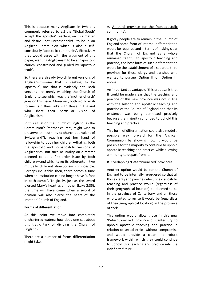This is because many Anglicans in (what is commonly referred to as) the 'Global South' accept the apostles' teaching on this matter and desire—not unreasonably!—to be in an Anglican Communion which is also a selfconsciously 'apostolic community'. Effectively they would agree with the argument of this paper, wanting Anglicanism to be an 'apostolic church' constrained and guided by 'apostolic truth'.

So there are already two different versions of Anglicanism—one that is seeking to be 'apostolic', one that is evidently not. Both versions are keenly watching the Church of England to see which way the 'mother-church' goes on this issue. Moreover, both would wish to maintain their links with those in England who share their particular vision of Anglicanism.

In this situation the Church of England, as the Communion's 'mother-church', might wish to preserve its neutrality (a church-equivalent of Switzerland?), reaching out her hand of fellowship to both her children—that is, both the apostolic and non-apostolic versions of Anglicanism. But such neutrality on a matter deemed to be a first-order issue by both children—and which takes its adherents in two mutually different directions—is impossible. Perhaps inevitably, then, there comes a time when an institution can no longer have 'a foot in both camps'. Tragically, just as the sword pierced Mary's heart as a mother (Luke 2:35), the time will have come when a sword of division will also pierce the heart of the 'mother' Church of England.

#### **Forms of differentiation**

At this point we move into completely unchartered waters: how does one set about this tragic task of dividing the Church of England?

There are a number of forms differentiation might take.

#### A. A 'third province for the 'non-apostolic community':

If godly people are to remain in the Church of England some form of internal differentiation would be required and in terms of making clear that the Church of England as a whole remained faithful to apostolic teaching and practice, the best form of such differentiation would be the establishment of a separate third province for those clergy and parishes who wanted to pursue 'Option II' or 'Option III' above.

An important advantage of this proposal is that It could be made clear that the teaching and practice of this new province was not in line with the historic and apostolic teaching and practice of the Church of England and that its existence was being permitted precisely because the majority continued to uphold this teaching and practice.

This form of differentiation could also model a possible way forward for the Anglican Communion by showing how it would be possible for the majority to continue to uphold apostolic teaching and practice while allowing a minority to depart from it.

#### B. Overlapping 'Deterritorialized' provinces:

Another option would be for the Church of England to be internally re-ordered so that all those clergy and parishes who upheld apostolic teaching and practice would (regardless of their geographical location) be deemed to be in the province of Canterbury and all those who wanted to revise it would be (regardless of their geographical location) in the province of York.

This option would allow those in this new 'Deterritorialized' province of Canterbury to uphold apostolic teaching and practice in relation to sexual ethics without compromise and would provide a clear and robust framework within which they could continue to uphold this teaching and practice into the indefinite future.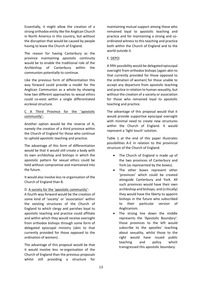Essentially, it might allow the creation of a strong orthodox entity like the Anglican Church in North America in this country, but without the disruption that would be caused by people having to leave the Church of England.

The reason for having Canterbury as the province maintaining apostolic continuity would be to enable the traditional role of the Archbishop of Canterbury within the communion potentially to continue.

Like the previous form of differentiation this way forward could provide a model for the Anglican Communion as a whole by showing how two different approaches to sexual ethics could co-exist within a single differentiated ecclesial structure.

#### C A Third Province for the 'apostolic community':

Another option would be the reverse of A, namely the creation of a third province within the Church of England for those who continue to uphold apostolic teaching and practice.

The advantage of this form of differentiation would be that it would still create a body with its own archbishop and bishops in which the apostolic pattern for sexual ethics could be held without compromise and maintained into the future.

It would also involve less re-organisation of the Church of England than B.

#### D. A society for the 'apostolic community':

A fourth way forward would be the creation of some kind of 'society' or 'association' within the existing structures of the Church of England to which clergy and parishes loyal to apostolic teaching and practice could affiliate and within which they would receive oversight from orthodox bishops through some form of delegated episcopal ministry (akin to that currently provided for those opposed to the ordination of women).

The advantage of this proposal would be that it would involve less re-organisation of the Church of England than the previous proposals whilst still providing a structure for maintaining mutual support among those who remained loyal to apostolic teaching and practice and for maintaining a strong and coordinated witness to this teaching and practice both within the Church of England and to the world outside it.

#### E. DEPO:

A fifth possibility would be delegated episcopal oversight from orthodox bishops (again akin to that currently provided for those opposed to the ordination of women) for those unable to accept any departure from apostolic teaching and practice in relation to human sexuality, but without the creation of a society or association for those who remained loyal to apostolic teaching and practice.

The advantage of this proposal would that it would provide supportive episcopal oversight with minimal need to create new structures within the Church of England. It would represent a 'light touch' solution.

Table 1 at the end of this paper illustrates possibilities A-E in relation to the provincial structure of the Church of England.

- The Church of England is made up of the two provinces of Canterbury and York (as represented by the boxes).
- The other boxes represent other 'provinces' which could be created alongside Canterbury and York. All such provinces would have their own archbishop and bishops; and (critically) they would have the liberty to appoint bishops in the future who subscribed to their particular version of Anglicanism.
- The strong line down the middle represents the 'Apostolic Boundary': those provinces to the left would subscribe to the apostles' teaching about sexuality, whilst those to the right would have issued public teaching and policy which transgressed this apostolic boundary.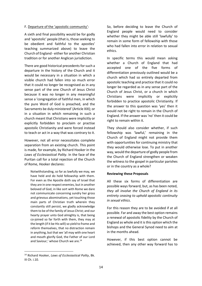#### F. Departure of the 'apostolic community':

A sixth and final possibility would be for godly and 'apostolic' people (that is, those seeking to be obedient and faithful to the apostles' teaching summarized above) to leave the Church of England - either for another Christian tradition or for another Anglican jurisdiction.

There are good historical precedents for such a departure in the history of the Church and it would be necessary in a situation in which a visible church had fallen into so much error that it could no longer be recognised as in any sense part of the one Church of Jesus Christ because it was no longer in any meaningful sense a 'congregation of faithful men, in which the pure Word of God is preached, and the Sacraments be duly ministered' (Article XIX); or in a situation in which remaining in such a church meant that Christians were implicitly or explicitly forbidden to proclaim or practise apostolic Christianity and were forced instead to teach or act in a way that was contrary to it.

However, not all error necessitates complete separation from an existing church. This point is made, for example, by Richard Hooker in the *Laws of Ecclesiastical Polity*. In the face of the Puritan call for a total rejection of the Church of Rome, Hooker declares:

Notwithstanding, so far as lawfully we may, we have held and do hold fellowship with them. For even as the Apostle doth say of Israel that they are in one respect enemies, but in another beloved of God, in like sort with Rome we dare not communicate concerning sundry her gross and grievous abominations, yet touching those main parts of Christian truth wherein they constantly still persist, we gladly acknowledge them to be of the family of Jesus Christ; and our hearty prayer unto God almighty is, that being co-joined so far forth with them, they may at the length (if it be His will) so yield to frame and reform themselves, that no distraction remain in anything, but that we 'all may with one heart and mouth glorify God, the Father of our Lord and Saviour,' whose Church we are.<sup>14</sup>

<sup>14</sup> Richard Hooker, *Laws of Ecclesiastical Polity*, Bk. III Ch. i.10.

1

So, before deciding to leave the Church of England people would need to consider whether they might be able still 'lawfully' to remain in some form of fellowship with those who had fallen into error in relation to sexual ethics.

In specific terms this would mean asking whether a Church of England that had accepted one of the five forms of differentiation previously outlined would be a church which had so entirely departed from apostolic teaching and practice that it could no longer be regarded as in any sense part of the Church of Jesus Christ, or a church in which Christians were implicitly or explicitly forbidden to practice apostolic Christianity. If the answer to this question was 'yes' then it would not be right to remain in the Church of England. If the answer was 'no' then it could be right to remain within it.

They should also consider whether, if such fellowship was 'lawful,' remaining in the Church of England might not provide them with opportunities for continuing ministry that they would otherwise lose. To put in another way, would the departure of godly people from the Church of England strengthen or weaken the witness to the gospel in particular parishes or in the country as a whole?

#### **Reviewing these Proposals**

All these six forms of differentiation are possible ways forward, but, as has been noted, *they all involve the Church of England in its entirety ceasing to uphold apostolic continuity in sexual ethics*.

For this reason they are to be avoided if at all possible. Far and away the best option remains a renewal of apostolic fidelity by the Church of England as whole and it is this option which the bishops and the General Synod need to aim at in the months ahead.

However, if this best option cannot be achieved, then any other way forward has to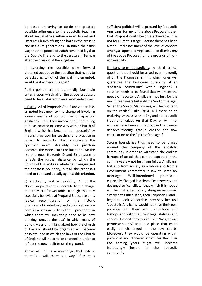be based on trying to attain the greatest possible adherence to the apostolic teaching about sexual ethics within a now divided and 'impure' Church of England both in the present and in future generations—in much the same way that the people of Judah remained loyal to the Davidic line and to the Jerusalem Temple after the division of the kingdom.

In assessing the possible ways forward sketched out above the question that needs to be asked is: which of them, if implemented, would best achieve this goal?

At this point there are, essentially, four main criteria upon which all of the above proposals need to be evaluated in an even-handed way:

i) Purity: All of Proposals A to E are vulnerable, as noted just now, to the charge of involving some measure of compromise for 'apostolic Anglicans' since they involve their continuing to be associated in some way with a Church of England which has become 'non-apostolic' by making provision for teaching and practice in regard to sexuality which contravene the apostolic norm. Arguably this problem becomes the more acute the further down the list one goes (towards D and E) because it reflects the further distance by which the Church of England as a whole has transgressed the apostolic boundary, but all the proposals need to be tested equally against this criterion.

ii) Practicality and achievability: All of the above proposals are vulnerable to the charge that they are 'unworkable' (though this may especially be levied at Proposal B because of its radical reconfiguration of the historic provinces of Canterbury and York). Yet we are here in a season quite without precedent in which there will inevitably need to be new thinking 'outside the box', in which many of our old ways of thinking about how the Church of England should be organised will become obsolete, and in which the laws of the Church of England will need to be changed in order to reflect the new realities on the ground.

Above all, let us acknowledge that 'where there is a will, there is a way.' If there is

sufficient political will expressed by 'apostolic Anglicans' for any of the above Proposals, then that Proposal could become achievable. It is not for us at this stage—*before* there has been a measured assessment of the level of concern amongst 'apostolic Anglicans'—to dismiss *any* of the above Proposals on the grounds of nonachievability.

iii) Long-term apostolicity: A third critical question that should be asked even-handedly of all the Proposals is this: which ones will guarantee the long-term durability of an 'apostolic community' within England? A solution needs to be found that will meet the needs of 'apostolic Anglicans' not just for the next fifteen years but until the 'end of the age': 'when the Son of Man comes, will he find faith on the earth?' (Luke 18:8). Will there be an enduring witness within England to apostolic truth and values on that Day, or will that witness have been snuffed out in the coming decades through gradual erosion and slow capitulation to the 'spirit of the age'?

Strong boundaries thus need to be placed around the company of the apostolic community in order to withstand the endless barrage of attack that can be expected in the coming years – not just from fellow Anglicans, but also from society as a whole and from a Government committed in law to same-sex marriage. Well-intentioned promisesespecially if forged in a time of controversy and designed to 'conciliate' that which it is hoped will be just a temporary disagreement—will simply not suffice. If so, then Proposals D and E begin to look vulnerable, precisely because 'apostolic Anglicans' would not have their own province with their own archbishops and bishops and with their own legal statutes and canons. Instead they would exist 'by gracious permission only' and in a place that could easily be challenged in the law courts. Moreover, they would be operating within provincial and diocesan structures that over the coming years might well become increasingly hostile to the apostolic community.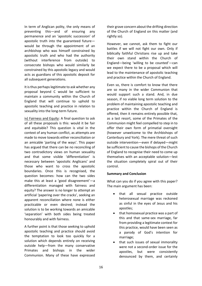In term of Anglican polity, the only means of preventing this—and of ensuring any permanence and an 'apostolic succession' of apostolic truth into the guaranteed future would be through the appointment of an archbishop who was himself constrained by apostolic truth and who had the authority (without interference from outside) to consecrate bishops who would similarly be constrained by this apostolic legacy and would acts as guardians of this apostolic deposit for all subsequent generations.

It is thus perhaps legitimate to ask whether any proposal beyond C would be sufficient to maintain a community within the Church of England that will continue to uphold to apostolic teaching and practice in relation to sexuality into the long-term future.

iv) Fairness and Equity: A final question to ask of all these proposals is this: would it be fair and equitable? This question is vital in the context of any human conflict, as attempts are made to move towards either reconciliation or an amicable 'parting of the ways'. This paper has argued that there can be no reconciling of two contradictory views on human sexuality and that some visible 'differentiation' is necessary between 'apostolic Anglicans' and those who want to cross the apostolic boundaries. Once this is recognised, the question becomes: how can the two sides make this at least a 'good disagreement'—a differentiation managed with fairness and equity? The answer is no longer to attempt an artificial 'papering over the cracks', seeking an apparent reconciliation where none is either practicable or even desired; instead the solution is to be working towards an amicable 'separation' with both sides being treated honourably and with fairness.

A further point is that those seeking to uphold apostolic teaching and practice should avoid the temptation to look too quickly for a solution which depends entirely on receiving outside help—from the many conservative Primates and bishops in the wider Communion. Many of these have expressed their grave concern about the drifting direction of the Church of England on this matter (and rightly so).

However, we cannot, ask them to fight our battles if we will not fight our own. Only if biblically faithful Christians rise up and take their own stand within the Church of England—being 'willing to be counted'—can we expect there to be a proposal which will lead to the maintenance of apostolic teaching and practice within the Church of England.

Even so, there is comfort to know that there are so many in the wider Communion that would support such a stand. And, in due season, if no viable long term solution to the problem of maintaining apostolic teaching and practice within the Church of England is offered, then it remains entirely possible that, as a last resort, some of the Primates of the Communion might feel compelled to step in to offer their own form of primatial oversight (however unwelcome to the Archbishops of Canterbury and York). The mere threat of such outside intervention—even if delayed—might be sufficient to cause the bishops of the Church of England to recognise their need to come up themselves with an acceptable solution—lest the situation completely spiral out of their control.

#### **Summary and Conclusion**

What can you do if you agree with this paper? The main argument has been:

- that all sexual practice outside heterosexual marriage was reckoned as sinful in the eyes of Jesus and his apostles;
- that homosexual practice was a part of this and that same-sex marriage, far from providing a legitimate context for this practice, would have been seen as a parody of God's intention for marriage;
- that such issues of sexual immorality were not a second-order issue for the apostles, but were consistently denounced by them, and certainly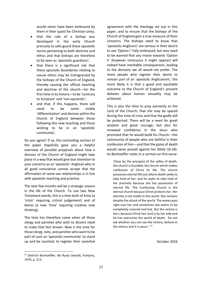would never have been embraced by them in their quest for Christian unity;

- that the role of a bishop was developed in the early Church precisely to safe-guard these apostolic norms pertaining to both doctrine and ethics and that bishops are therefore to be seen as 'apostolic guardians';
- that there is a significant risk that these apostolic boundaries relating to sexual ethics may be transgressed by the bishops of the Church of England, thereby causing the official teaching and doctrine of the church—for the first time in its history—to be 'contrary to Scripture' and 'non-apostolic';
- and that, if this happens, there will need to be some visible 'differentiation' and division within the Church of England between those following this new teaching and those wishing to be in an 'apostolic community'.

Do you agree? If so, the concluding section of the paper hopefully gave you a helpful overview of possible proposals about how a division of the Church of England might take place in a way that would give due attention to your concerns as an 'apostolic' Anglican who in all good conscience cannot accept that the affirmation of same-sex relationships is in line with apostolic teaching and practice.

The next few months will be a strategic season in the life of the Church. To use two New Testament words, this is a time both of *krisis* (a 'crisis' requiring critical judgement) and of *kairos* (a new 'time' requiring creative new thinking).

The time has therefore come when all those clergy and parishes who wish to dissent need to make that fact known. Now is the time for those clergy, laity, and parishes who want to be part of such an 'apostolic community' to stand up and be counted, to register their essential agreement with the theology set out in this paper, and to ensure that the bishops of the Church of England gain a true measure of their concerns. The bishops need to know that 'apostolic Anglicans' are serious in their desire to see 'Option I' fully embraced; but also need to be warned that any movie towards 'Option II' (however innocuous it might appear) will indeed have inevitable consequences, leading to the divisions we all would not prefer. The more people who register their desire to remain part of an 'apostolic Anglicanism,' the more likely it is that a good and equitable outcome to the Church of England's present debates about human sexuality may be achieved.

This is also the time to pray earnestly to the Lord of the Church, that she may be spared during this time of crisis and that the godly will be protected. There will be a need for great wisdom and great courage; but also for renewed confidence in the Jesus who promised that he would build his Church—the community of people who are faithful in their confession of him—and that the gates of death would never prevail against her (Matt 16:18). As Bonhoeffer notes in a sermon on this verse:

'Close by the precipice of the valley of death, the church is founded, the church which makes confession of Christ its life. The church possesses eternal life just where death seeks to take hold of her; and he seeks to take hold of her precisely because she has possession of eternal life. The Confessing Church is the eternal church because Christ protects her. Her eternity is not visible in this world. She remains despite the attack of the world. The waves pass right over her and sometimes she seems to be completely covered and lost. But the victory is hers, because Christ her Lord is by her side and he has overcome the world of death. Do not ask whether you can see the victory; believe in the victory and it is yours.' <sup>15</sup>

October 2016

1

<sup>15</sup> Dietrich Bonhoeffer, *No Rusty Swords*, Fontana, 1970, p. 213.